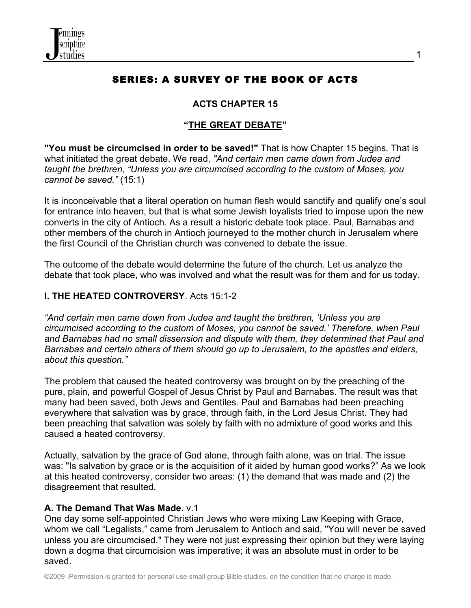

# SERIES: A SURVEY OF THE BOOK OF ACTS

1

#### **ACTS CHAPTER 15**

#### **"THE GREAT DEBATE"**

**"You must be circumcised in order to be saved!"** That is how Chapter 15 begins. That is what initiated the great debate. We read, *"And certain men came down from Judea and taught the brethren, "Unless you are circumcised according to the custom of Moses, you cannot be saved."* (15:1)

It is inconceivable that a literal operation on human flesh would sanctify and qualify one's soul for entrance into heaven, but that is what some Jewish loyalists tried to impose upon the new converts in the city of Antioch. As a result a historic debate took place. Paul, Barnabas and other members of the church in Antioch journeyed to the mother church in Jerusalem where the first Council of the Christian church was convened to debate the issue.

The outcome of the debate would determine the future of the church. Let us analyze the debate that took place, who was involved and what the result was for them and for us today.

#### **I. THE HEATED CONTROVERSY**. Acts 15:1-2

*"And certain men came down from Judea and taught the brethren, 'Unless you are circumcised according to the custom of Moses, you cannot be saved.' Therefore, when Paul and Barnabas had no small dissension and dispute with them, they determined that Paul and Barnabas and certain others of them should go up to Jerusalem, to the apostles and elders, about this question."* 

The problem that caused the heated controversy was brought on by the preaching of the pure, plain, and powerful Gospel of Jesus Christ by Paul and Barnabas. The result was that many had been saved, both Jews and Gentiles. Paul and Barnabas had been preaching everywhere that salvation was by grace, through faith, in the Lord Jesus Christ. They had been preaching that salvation was solely by faith with no admixture of good works and this caused a heated controversy.

Actually, salvation by the grace of God alone, through faith alone, was on trial. The issue was: "Is salvation by grace or is the acquisition of it aided by human good works?" As we look at this heated controversy, consider two areas: (1) the demand that was made and (2) the disagreement that resulted.

#### **A. The Demand That Was Made.** v.1

One day some self-appointed Christian Jews who were mixing Law Keeping with Grace, whom we call "Legalists," came from Jerusalem to Antioch and said, "You will never be saved unless you are circumcised." They were not just expressing their opinion but they were laying down a dogma that circumcision was imperative; it was an absolute must in order to be saved.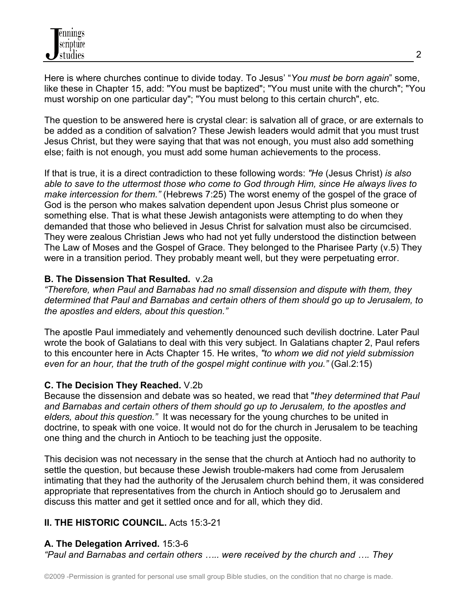Here is where churches continue to divide today. To Jesus' "*You must be born again*" some, like these in Chapter 15, add: "You must be baptized"; "You must unite with the church"; "You must worship on one particular day"; "You must belong to this certain church", etc.

The question to be answered here is crystal clear: is salvation all of grace, or are externals to be added as a condition of salvation? These Jewish leaders would admit that you must trust Jesus Christ, but they were saying that that was not enough, you must also add something else; faith is not enough, you must add some human achievements to the process.

If that is true, it is a direct contradiction to these following words: *"He* (Jesus Christ) *is also able to save to the uttermost those who come to God through Him, since He always lives to make intercession for them."* (Hebrews 7:25) The worst enemy of the gospel of the grace of God is the person who makes salvation dependent upon Jesus Christ plus someone or something else. That is what these Jewish antagonists were attempting to do when they demanded that those who believed in Jesus Christ for salvation must also be circumcised. They were zealous Christian Jews who had not yet fully understood the distinction between The Law of Moses and the Gospel of Grace. They belonged to the Pharisee Party (v.5) They were in a transition period. They probably meant well, but they were perpetuating error.

### **B. The Dissension That Resulted.** v.2a

*"Therefore, when Paul and Barnabas had no small dissension and dispute with them, they determined that Paul and Barnabas and certain others of them should go up to Jerusalem, to the apostles and elders, about this question."* 

The apostle Paul immediately and vehemently denounced such devilish doctrine. Later Paul wrote the book of Galatians to deal with this very subject. In Galatians chapter 2, Paul refers to this encounter here in Acts Chapter 15. He writes, *"to whom we did not yield submission even for an hour, that the truth of the gospel might continue with you."* (Gal.2:15)

# **C. The Decision They Reached.** V.2b

Because the dissension and debate was so heated, we read that "*they determined that Paul and Barnabas and certain others of them should go up to Jerusalem, to the apostles and elders, about this question."* It was necessary for the young churches to be united in doctrine, to speak with one voice. It would not do for the church in Jerusalem to be teaching one thing and the church in Antioch to be teaching just the opposite.

This decision was not necessary in the sense that the church at Antioch had no authority to settle the question, but because these Jewish trouble-makers had come from Jerusalem intimating that they had the authority of the Jerusalem church behind them, it was considered appropriate that representatives from the church in Antioch should go to Jerusalem and discuss this matter and get it settled once and for all, which they did.

# **II. THE HISTORIC COUNCIL.** Acts 15:3-21

# **A. The Delegation Arrived.** 15:3-6

*"Paul and Barnabas and certain others ….. were received by the church and …. They*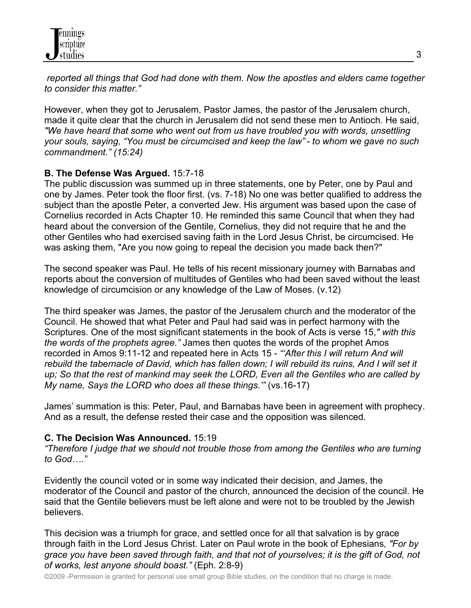*reported all things that God had done with them. Now the apostles and elders came together to consider this matter."*

However, when they got to Jerusalem, Pastor James, the pastor of the Jerusalem church, made it quite clear that the church in Jerusalem did not send these men to Antioch. He said, *"We have heard that some who went out from us have troubled you with words, unsettling your souls, saying, "You must be circumcised and keep the law" - to whom we gave no such commandment." (15:24)*

### **B. The Defense Was Argued.** 15:7-18

The public discussion was summed up in three statements, one by Peter, one by Paul and one by James. Peter took the floor first. (vs. 7-18) No one was better qualified to address the subject than the apostle Peter, a converted Jew. His argument was based upon the case of Cornelius recorded in Acts Chapter 10. He reminded this same Council that when they had heard about the conversion of the Gentile, Cornelius, they did not require that he and the other Gentiles who had exercised saving faith in the Lord Jesus Christ, be circumcised. He was asking them, "Are you now going to repeal the decision you made back then?"

The second speaker was Paul. He tells of his recent missionary journey with Barnabas and reports about the conversion of multitudes of Gentiles who had been saved without the least knowledge of circumcision or any knowledge of the Law of Moses. (v.12)

The third speaker was James, the pastor of the Jerusalem church and the moderator of the Council. He showed that what Peter and Paul had said was in perfect harmony with the Scriptures. One of the most significant statements in the book of Acts is verse 15,*" with this the words of the prophets agree."* James then quotes the words of the prophet Amos recorded in Amos 9:11-12 and repeated here in Acts 15 - *"'After this I will return And will rebuild the tabernacle of David, which has fallen down; I will rebuild its ruins, And I will set it up; So that the rest of mankind may seek the LORD, Even all the Gentiles who are called by My name, Says the LORD who does all these things.'"* (vs.16-17)

James' summation is this: Peter, Paul, and Barnabas have been in agreement with prophecy. And as a result, the defense rested their case and the opposition was silenced.

#### **C. The Decision Was Announced.** 15:19

*"Therefore I judge that we should not trouble those from among the Gentiles who are turning to God…."*

Evidently the council voted or in some way indicated their decision, and James, the moderator of the Council and pastor of the church, announced the decision of the council. He said that the Gentile believers must be left alone and were not to be troubled by the Jewish believers.

This decision was a triumph for grace, and settled once for all that salvation is by grace through faith in the Lord Jesus Christ. Later on Paul wrote in the book of Ephesians*, "For by grace you have been saved through faith, and that not of yourselves; it is the gift of God, not of works, lest anyone should boast."* (Eph. 2:8-9)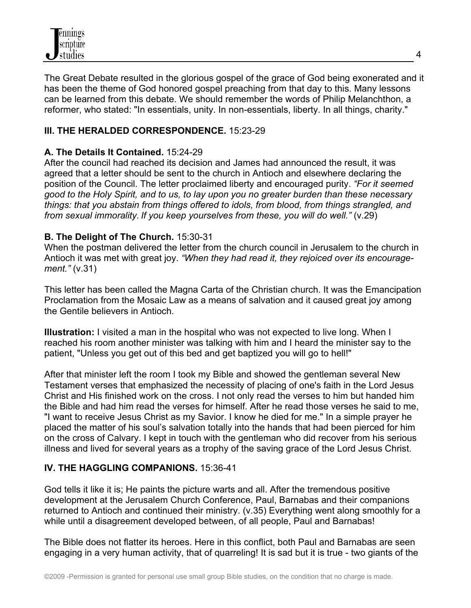The Great Debate resulted in the glorious gospel of the grace of God being exonerated and it has been the theme of God honored gospel preaching from that day to this. Many lessons can be learned from this debate. We should remember the words of Philip Melanchthon, a reformer, who stated: "In essentials, unity. In non-essentials, liberty. In all things, charity."

### **III. THE HERALDED CORRESPONDENCE.** 15:23-29

### **A. The Details It Contained.** 15:24-29

After the council had reached its decision and James had announced the result, it was agreed that a letter should be sent to the church in Antioch and elsewhere declaring the position of the Council. The letter proclaimed liberty and encouraged purity. *"For it seemed good to the Holy Spirit, and to us, to lay upon you no greater burden than these necessary things: that you abstain from things offered to idols, from blood, from things strangled, and from sexual immorality. If you keep yourselves from these, you will do well."* (v.29)

### **B. The Delight of The Church.** 15:30-31

When the postman delivered the letter from the church council in Jerusalem to the church in Antioch it was met with great joy. *"When they had read it, they rejoiced over its encouragement."* (v.31)

This letter has been called the Magna Carta of the Christian church. It was the Emancipation Proclamation from the Mosaic Law as a means of salvation and it caused great joy among the Gentile believers in Antioch.

**Illustration:** I visited a man in the hospital who was not expected to live long. When I reached his room another minister was talking with him and I heard the minister say to the patient, "Unless you get out of this bed and get baptized you will go to hell!"

After that minister left the room I took my Bible and showed the gentleman several New Testament verses that emphasized the necessity of placing of one's faith in the Lord Jesus Christ and His finished work on the cross. I not only read the verses to him but handed him the Bible and had him read the verses for himself. After he read those verses he said to me, "I want to receive Jesus Christ as my Savior. I know he died for me." In a simple prayer he placed the matter of his soul's salvation totally into the hands that had been pierced for him on the cross of Calvary. I kept in touch with the gentleman who did recover from his serious illness and lived for several years as a trophy of the saving grace of the Lord Jesus Christ.

# **IV. THE HAGGLING COMPANIONS.** 15:36-41

God tells it like it is; He paints the picture warts and all. After the tremendous positive development at the Jerusalem Church Conference, Paul, Barnabas and their companions returned to Antioch and continued their ministry. (v.35) Everything went along smoothly for a while until a disagreement developed between, of all people, Paul and Barnabas!

The Bible does not flatter its heroes. Here in this conflict, both Paul and Barnabas are seen engaging in a very human activity, that of quarreling! It is sad but it is true - two giants of the

4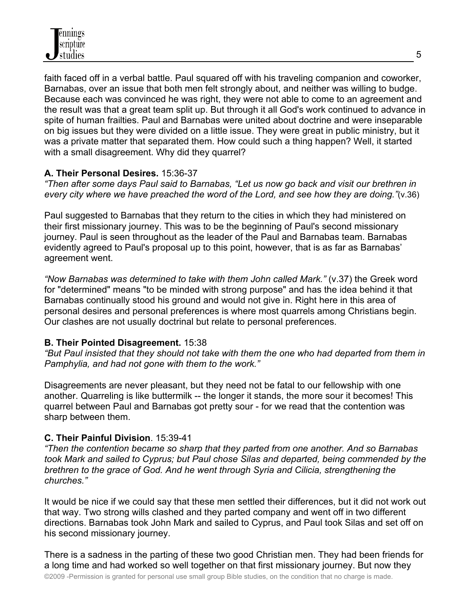faith faced off in a verbal battle. Paul squared off with his traveling companion and coworker, Barnabas, over an issue that both men felt strongly about, and neither was willing to budge. Because each was convinced he was right, they were not able to come to an agreement and the result was that a great team split up. But through it all God's work continued to advance in spite of human frailties. Paul and Barnabas were united about doctrine and were inseparable on big issues but they were divided on a little issue. They were great in public ministry, but it was a private matter that separated them. How could such a thing happen? Well, it started with a small disagreement. Why did they quarrel?

### **A. Their Personal Desires.** 15:36-37

*"Then after some days Paul said to Barnabas, "Let us now go back and visit our brethren in every city where we have preached the word of the Lord, and see how they are doing."*(v.36)

Paul suggested to Barnabas that they return to the cities in which they had ministered on their first missionary journey. This was to be the beginning of Paul's second missionary journey. Paul is seen throughout as the leader of the Paul and Barnabas team. Barnabas evidently agreed to Paul's proposal up to this point, however, that is as far as Barnabas' agreement went.

*"Now Barnabas was determined to take with them John called Mark."* (v.37) the Greek word for "determined" means "to be minded with strong purpose" and has the idea behind it that Barnabas continually stood his ground and would not give in. Right here in this area of personal desires and personal preferences is where most quarrels among Christians begin. Our clashes are not usually doctrinal but relate to personal preferences.

#### **B. Their Pointed Disagreement.** 15:38

*"But Paul insisted that they should not take with them the one who had departed from them in Pamphylia, and had not gone with them to the work."*

Disagreements are never pleasant, but they need not be fatal to our fellowship with one another. Quarreling is like buttermilk -- the longer it stands, the more sour it becomes! This quarrel between Paul and Barnabas got pretty sour - for we read that the contention was sharp between them.

#### **C. Their Painful Division**. 15:39-41

*"Then the contention became so sharp that they parted from one another. And so Barnabas took Mark and sailed to Cyprus; but Paul chose Silas and departed, being commended by the brethren to the grace of God. And he went through Syria and Cilicia, strengthening the churches."*

It would be nice if we could say that these men settled their differences, but it did not work out that way. Two strong wills clashed and they parted company and went off in two different directions. Barnabas took John Mark and sailed to Cyprus, and Paul took Silas and set off on his second missionary journey.

There is a sadness in the parting of these two good Christian men. They had been friends for a long time and had worked so well together on that first missionary journey. But now they